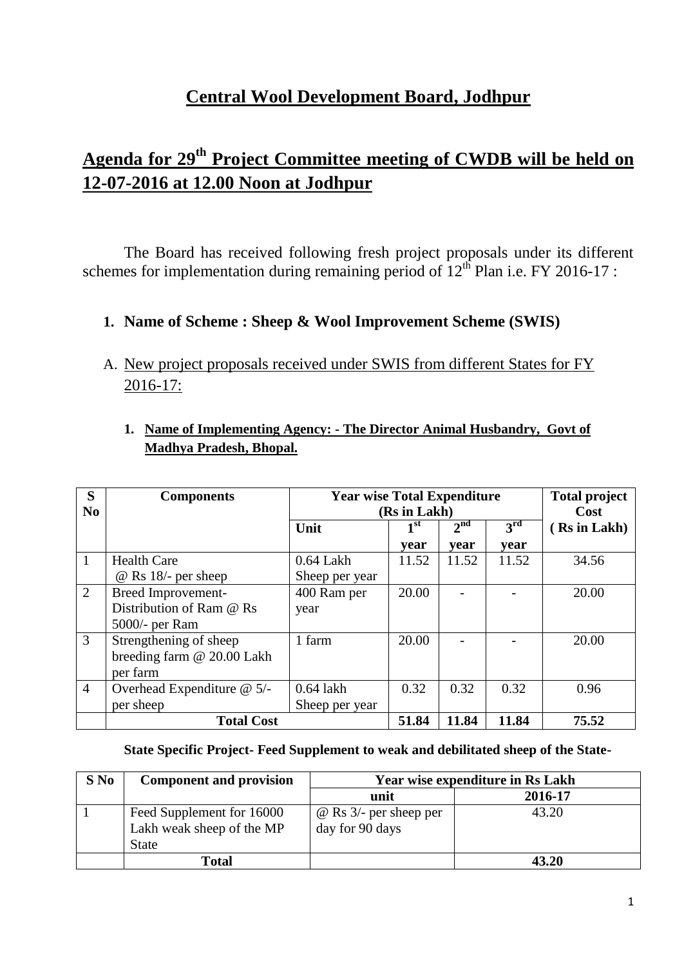## **Central Wool Development Board, Jodhpur**

# **Agenda for 29th Project Committee meeting of CWDB will be held on 12-07-2016 at 12.00 Noon at Jodhpur**

The Board has received following fresh project proposals under its different schemes for implementation during remaining period of  $12<sup>th</sup>$  Plan i.e. FY 2016-17 :

## **1. Name of Scheme : Sheep & Wool Improvement Scheme (SWIS)**

A. New project proposals received under SWIS from different States for FY 2016-17:

#### **1. Name of Implementing Agency: - The Director Animal Husbandry, Govt of Madhya Pradesh, Bhopal.**

| S              | <b>Components</b>          |                | <b>Year wise Total Expenditure</b> |                 |              |              |
|----------------|----------------------------|----------------|------------------------------------|-----------------|--------------|--------------|
| N <sub>0</sub> |                            |                | (Rs in Lakh)                       |                 |              | Cost         |
|                |                            | Unit           | 1st                                | 2 <sup>nd</sup> | $3^{\rm rd}$ | (Rs in Lakh) |
|                |                            |                | year                               | year            | year         |              |
| 1              | <b>Health Care</b>         | $0.64$ Lakh    | 11.52                              | 11.52           | 11.52        | 34.56        |
|                | $@$ Rs 18/- per sheep      | Sheep per year |                                    |                 |              |              |
| 2              | Breed Improvement-         | 400 Ram per    | 20.00                              |                 |              | 20.00        |
|                | Distribution of Ram @ Rs   | year           |                                    |                 |              |              |
|                | 5000/- per Ram             |                |                                    |                 |              |              |
| $\overline{3}$ | Strengthening of sheep     | 1 farm         | 20.00                              |                 |              | 20.00        |
|                | breeding farm @ 20.00 Lakh |                |                                    |                 |              |              |
|                | per farm                   |                |                                    |                 |              |              |
| $\overline{4}$ | Overhead Expenditure @ 5/- | $0.64$ lakh    | 0.32                               | 0.32            | 0.32         | 0.96         |
|                | per sheep                  | Sheep per year |                                    |                 |              |              |
|                | <b>Total Cost</b>          |                | 51.84                              | 11.84           | 11.84        | 75.52        |

#### **State Specific Project- Feed Supplement to weak and debilitated sheep of the State-**

| $S$ No | <b>Component and provision</b> | <b>Year wise expenditure in Rs Lakh</b> |         |  |  |  |
|--------|--------------------------------|-----------------------------------------|---------|--|--|--|
|        |                                | unit                                    | 2016-17 |  |  |  |
|        | Feed Supplement for 16000      | $\omega$ Rs 3/- per sheep per           | 43.20   |  |  |  |
|        | Lakh weak sheep of the MP      | day for 90 days                         |         |  |  |  |
|        | <b>State</b>                   |                                         |         |  |  |  |
|        | <b>Total</b>                   |                                         | 43.20   |  |  |  |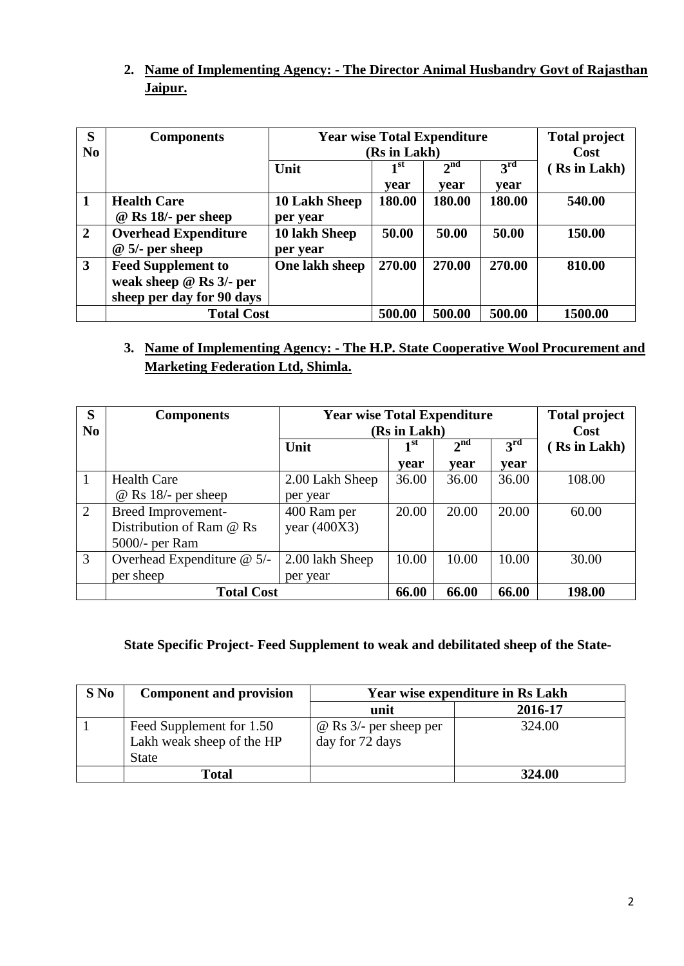## **2. Name of Implementing Agency: - The Director Animal Husbandry Govt of Rajasthan Jaipur.**

| S                       | <b>Components</b>              |                                                                          | <b>Year wise Total Expenditure</b> |        |              |         |
|-------------------------|--------------------------------|--------------------------------------------------------------------------|------------------------------------|--------|--------------|---------|
| N <sub>0</sub>          |                                |                                                                          | (Rs in Lakh)                       |        |              | Cost    |
|                         |                                | 2 <sup>nd</sup><br>3 <sup>rd</sup><br>$\mathbf{1}^{\mathrm{st}}$<br>Unit |                                    |        | (Rs in Lakh) |         |
|                         |                                |                                                                          | year                               | vear   | vear         |         |
| 1                       | <b>Health Care</b>             | 10 Lakh Sheep                                                            | 180.00                             | 180.00 | 180.00       | 540.00  |
|                         | $@$ Rs 18/- per sheep          | per year                                                                 |                                    |        |              |         |
| $\overline{2}$          | <b>Overhead Expenditure</b>    | 10 lakh Sheep                                                            | 50.00                              | 50.00  | 50.00        | 150.00  |
|                         | $@ 5/-$ per sheep              | per year                                                                 |                                    |        |              |         |
| $\overline{\mathbf{3}}$ | <b>Feed Supplement to</b>      | One lakh sheep                                                           | 270.00                             | 270.00 | 270.00       | 810.00  |
|                         | weak sheep $\omega$ Rs 3/- per |                                                                          |                                    |        |              |         |
|                         | sheep per day for 90 days      |                                                                          |                                    |        |              |         |
|                         | <b>Total Cost</b>              |                                                                          | 500.00                             | 500.00 | 500.00       | 1500.00 |

## **3. Name of Implementing Agency: - The H.P. State Cooperative Wool Procurement and Marketing Federation Ltd, Shimla.**

| S              | <b>Components</b>          | <b>Year wise Total Expenditure</b>         |              |                 |              | <b>Total project</b> |
|----------------|----------------------------|--------------------------------------------|--------------|-----------------|--------------|----------------------|
| N <sub>0</sub> |                            |                                            | (Rs in Lakh) |                 |              | Cost                 |
|                |                            | 2 <sup>nd</sup><br>1 <sup>st</sup><br>Unit |              | 3 <sup>rd</sup> | (Rs in Lakh) |                      |
|                |                            |                                            | vear         | year            | year         |                      |
| 1              | <b>Health Care</b>         | 2.00 Lakh Sheep                            | 36.00        | 36.00           | 36.00        | 108.00               |
|                | $@$ Rs 18/- per sheep      | per year                                   |              |                 |              |                      |
| 2              | Breed Improvement-         | 400 Ram per                                | 20.00        | 20.00           | 20.00        | 60.00                |
|                | Distribution of Ram @ Rs   | year $(400X3)$                             |              |                 |              |                      |
|                | $5000/-$ per Ram           |                                            |              |                 |              |                      |
| 3              | Overhead Expenditure @ 5/- | 2.00 lakh Sheep                            | 10.00        | 10.00           | 10.00        | 30.00                |
|                | per sheep                  | per year                                   |              |                 |              |                      |
|                | <b>Total Cost</b>          |                                            | 66.00        | 66.00           | 66.00        | 198.00               |

#### **State Specific Project- Feed Supplement to weak and debilitated sheep of the State-**

| $S$ No | <b>Component and provision</b>                                        | <b>Year wise expenditure in Rs Lakh</b>          |         |  |  |
|--------|-----------------------------------------------------------------------|--------------------------------------------------|---------|--|--|
|        |                                                                       | unit                                             | 2016-17 |  |  |
|        | Feed Supplement for 1.50<br>Lakh weak sheep of the HP<br><b>State</b> | $\omega$ Rs 3/- per sheep per<br>day for 72 days | 324.00  |  |  |
|        | <b>Total</b>                                                          |                                                  | 324.00  |  |  |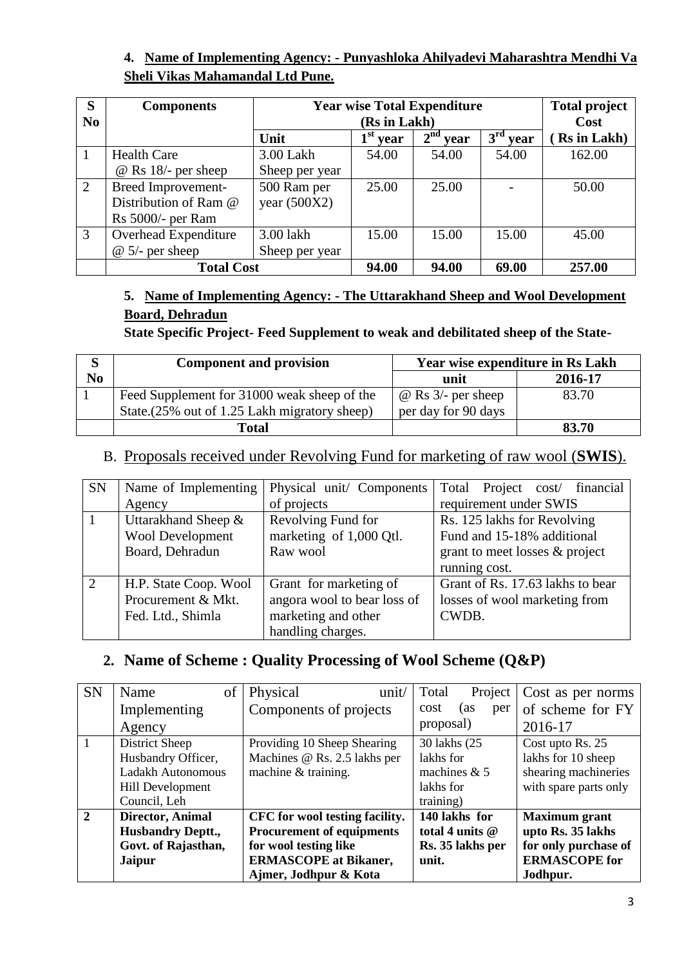## **4. Name of Implementing Agency: - Punyashloka Ahilyadevi Maharashtra Mendhi Va Sheli Vikas Mahamandal Ltd Pune.**

| S              | <b>Components</b>         |                | <b>Year wise Total Expenditure</b> |            |            |                    |
|----------------|---------------------------|----------------|------------------------------------|------------|------------|--------------------|
| N <sub>0</sub> |                           |                | (Rs in Lakh)                       |            |            | Cost               |
|                |                           | Unit           | $1st$ year                         | $2nd$ year | $3rd$ year | <b>Rs</b> in Lakh) |
|                | <b>Health Care</b>        | 3.00 Lakh      | 54.00                              | 54.00      | 54.00      | 162.00             |
|                | $@$ Rs 18/- per sheep     | Sheep per year |                                    |            |            |                    |
| 2              | <b>Breed Improvement-</b> | 500 Ram per    | 25.00                              | 25.00      |            | 50.00              |
|                | Distribution of Ram @     | year $(500X2)$ |                                    |            |            |                    |
|                | Rs 5000/- per Ram         |                |                                    |            |            |                    |
| 3              | Overhead Expenditure      | 3.00 lakh      | 15.00                              | 15.00      | 15.00      | 45.00              |
|                | $@ 5/-$ per sheep         | Sheep per year |                                    |            |            |                    |
|                | <b>Total Cost</b>         |                | 94.00                              | 94.00      | 69.00      | 257.00             |

## **5. Name of Implementing Agency: - The Uttarakhand Sheep and Wool Development Board, Dehradun**

**State Specific Project- Feed Supplement to weak and debilitated sheep of the State-**

|    | <b>Component and provision</b>                | <b>Year wise expenditure in Rs Lakh</b> |         |  |
|----|-----------------------------------------------|-----------------------------------------|---------|--|
| No |                                               | unit                                    | 2016-17 |  |
|    | Feed Supplement for 31000 weak sheep of the   | $\omega$ Rs 3/- per sheep               | 83.70   |  |
|    | State. (25% out of 1.25 Lakh migratory sheep) | per day for 90 days                     |         |  |
|    | <b>Total</b>                                  |                                         | 83.70   |  |

## B. Proposals received under Revolving Fund for marketing of raw wool (**SWIS**).

| <b>SN</b> | Name of Implementing    | Physical unit/ Components   | Total Project cost/ financial    |  |
|-----------|-------------------------|-----------------------------|----------------------------------|--|
|           | Agency                  | of projects                 | requirement under SWIS           |  |
|           | Uttarakhand Sheep &     | Revolving Fund for          | Rs. 125 lakhs for Revolving      |  |
|           | <b>Wool Development</b> | marketing of 1,000 Qtl.     | Fund and 15-18% additional       |  |
|           | Board, Dehradun         | Raw wool                    | grant to meet losses & project   |  |
|           |                         |                             | running cost.                    |  |
| 2         | H.P. State Coop. Wool   | Grant for marketing of      | Grant of Rs. 17.63 lakhs to bear |  |
|           | Procurement & Mkt.      | angora wool to bear loss of | losses of wool marketing from    |  |
|           | Fed. Ltd., Shimla       | marketing and other         | CWDB.                            |  |
|           |                         | handling charges.           |                                  |  |

## **2. Name of Scheme : Quality Processing of Wool Scheme (Q&P)**

| <b>SN</b>      | of<br>Name               | Physical<br>unit/                | Project<br>Total   | Cost as per norms     |
|----------------|--------------------------|----------------------------------|--------------------|-----------------------|
|                | Implementing             | Components of projects           | (as<br>cost<br>per | of scheme for FY      |
|                | Agency                   |                                  | proposal)          | 2016-17               |
|                | District Sheep           | Providing 10 Sheep Shearing      | 30 lakhs (25)      | Cost upto Rs. 25      |
|                | Husbandry Officer,       | Machines @ Rs. 2.5 lakhs per     | lakhs for          | lakhs for 10 sheep    |
|                | Ladakh Autonomous        | machine & training.              | machines $& 5$     | shearing machineries  |
|                | <b>Hill Development</b>  |                                  | lakhs for          | with spare parts only |
|                | Council, Leh             |                                  | training)          |                       |
| $\overline{2}$ | Director, Animal         | CFC for wool testing facility.   | 140 lakhs for      | <b>Maximum</b> grant  |
|                | <b>Husbandry Deptt.,</b> | <b>Procurement of equipments</b> | total 4 units @    | upto Rs. 35 lakhs     |
|                | Govt. of Rajasthan,      | for wool testing like            | Rs. 35 lakhs per   | for only purchase of  |
|                | <b>Jaipur</b>            | <b>ERMASCOPE</b> at Bikaner,     | unit.              | <b>ERMASCOPE</b> for  |
|                |                          | Ajmer, Jodhpur & Kota            |                    | Jodhpur.              |